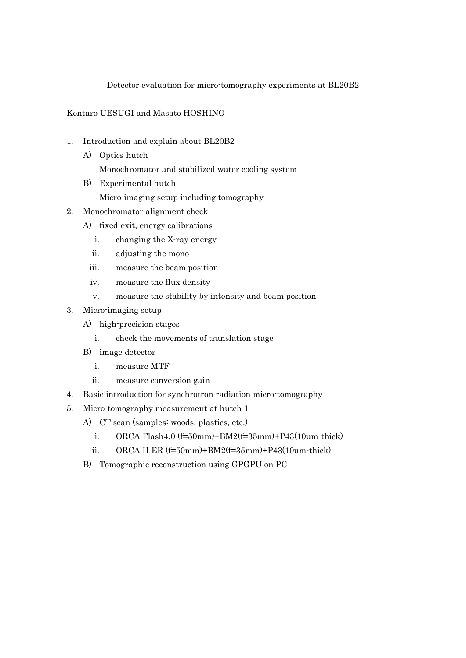## Detector evaluation for micro-tomography experiments at BL20B2

## Kentaro UESUGI and Masato HOSHINO

- 1. Introduction and explain about BL20B2
	- A) Optics hutch Monochromator and stabilized water cooling system
	- B) Experimental hutch
		- Micro-imaging setup including tomography
- 2. Monochromator alignment check
	- A) fixed-exit, energy calibrations
		- i. changing the X-ray energy
		- ii. adjusting the mono
		- iii. measure the beam position
		- iv. measure the flux density
		- v. measure the stability by intensity and beam position
- 3. Micro-imaging setup
	- A) high-precision stages
		- i. check the movements of translation stage
	- B) image detector
		- i. measure MTF
		- ii. measure conversion gain
- 4. Basic introduction for synchrotron radiation micro-tomography
- 5. Micro-tomography measurement at hutch 1
	- A) CT scan (samples: woods, plastics, etc.)
		- i. ORCA Flash4.0  $(f=50mm)$ +BM2 $(f=35mm)$ +P43(10um-thick)
		- ii. ORCA II ER  $(f=50mm)+BM2(f=35mm)+P43(10um\cdot thick)$
	- B) Tomographic reconstruction using GPGPU on PC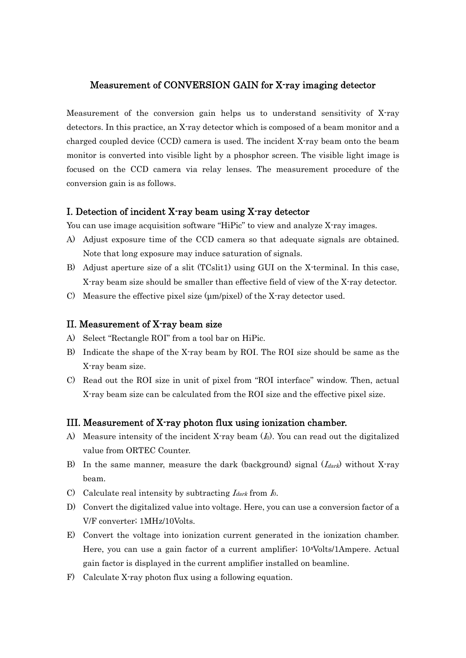## Measurement of CONVERSION GAIN for X-ray imaging detector

Measurement of the conversion gain helps us to understand sensitivity of X-ray detectors. In this practice, an X-ray detector which is composed of a beam monitor and a charged coupled device (CCD) camera is used. The incident X-ray beam onto the beam monitor is converted into visible light by a phosphor screen. The visible light image is focused on the CCD camera via relay lenses. The measurement procedure of the conversion gain is as follows.

## I. Detection of incident X-ray beam using X-ray detector

You can use image acquisition software "HiPic" to view and analyze X-ray images.

- A) Adjust exposure time of the CCD camera so that adequate signals are obtained. Note that long exposure may induce saturation of signals.
- B) Adjust aperture size of a slit (TCslit1) using GUI on the X-terminal. In this case, X-ray beam size should be smaller than effective field of view of the X-ray detector.
- C) Measure the effective pixel size ( $\mu$ m/pixel) of the X-ray detector used.

#### II. Measurement of X-ray beam size

- A) Select "Rectangle ROI" from a tool bar on HiPic.
- B) Indicate the shape of the X-ray beam by ROI. The ROI size should be same as the X-ray beam size.
- C) Read out the ROI size in unit of pixel from "ROI interface" window. Then, actual X-ray beam size can be calculated from the ROI size and the effective pixel size.

## III. Measurement of X-ray photon flux using ionization chamber.

- A) Measure intensity of the incident X-ray beam  $(I_0)$ . You can read out the digitalized value from ORTEC Counter.
- B) In the same manner, measure the dark (background) signal  $(I_{dark})$  without X-ray beam.
- C) Calculate real intensity by subtracting  $I_{dark}$  from  $I_0$ .
- D) Convert the digitalized value into voltage. Here, you can use a conversion factor of a V/F converter; 1MHz/10Volts.
- E) Convert the voltage into ionization current generated in the ionization chamber. Here, you can use a gain factor of a current amplifier;  $10^x$ Volts/1Ampere. Actual gain factor is displayed in the current amplifier installed on beamline.
- F) Calculate X-ray photon flux using a following equation.